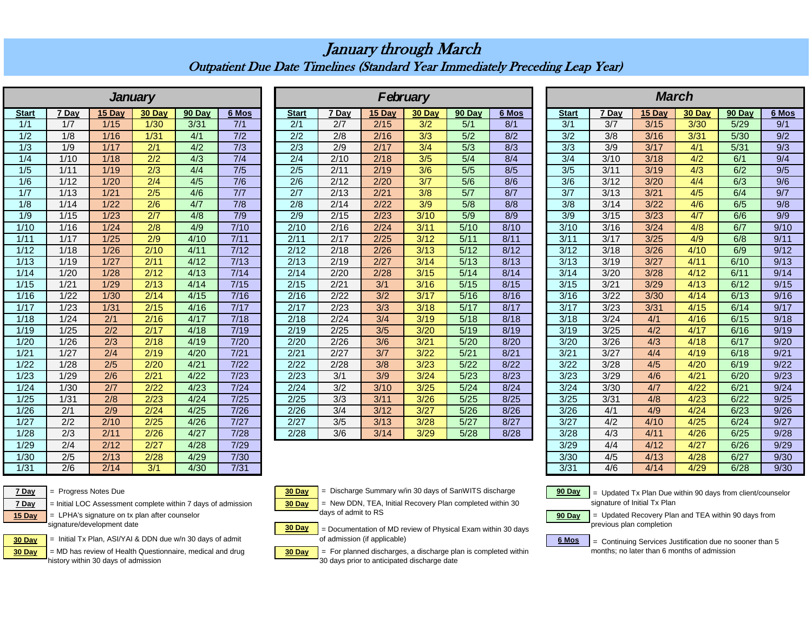## January through March Outpatient Due Date Timelines (Standard Year Immediately Preceding Leap Year)

|                   |                  |                  | <b>January</b>   |        |                  |                  |                  |        | February         |        | <b>March</b> |                  |                |                |        |        |        |  |
|-------------------|------------------|------------------|------------------|--------|------------------|------------------|------------------|--------|------------------|--------|--------------|------------------|----------------|----------------|--------|--------|--------|--|
| <b>Start</b>      | 7 Day            | 15 Dav           | 30 Day           | 90 Day | 6 Mos            | <b>Start</b>     | 7 Dav            | 15 Dav | 30 Day           | 90 Day | 6 Mos        | <b>Start</b>     | 7 Dav          | 15 Day         | 30 Day | 90 Day | $6$ Mo |  |
| 1/1               | 1/7              | 1/15             | 1/30             | 3/31   | 7/1              | 2/1              | 2/7              | 2/15   | 3/2              | 5/1    | 8/1          | 3/1              | 3/7            | 3/15           | 3/30   | 5/29   | 9/1    |  |
| 1/2               | 1/8              | 1/16             | 1/31             | 4/1    | 7/2              | 2/2              | 2/8              | 2/16   | 3/3              | 5/2    | 8/2          | 3/2              | 3/8            | 3/16           | 3/31   | 5/30   | 9/2    |  |
| 1/3               | 1/9              | 1/17             | 2/1              | 4/2    | $\overline{7/3}$ | $\overline{2/3}$ | $\overline{2/9}$ | 2/17   | $\overline{3/4}$ | 5/3    | 8/3          | $\overline{3/3}$ | 3/9            | 3/17           | 4/1    | 5/31   | 9/3    |  |
| 1/4               | 1/10             | 1/18             | $\overline{2/2}$ | 4/3    | 7/4              | 2/4              | 2/10             | 2/18   | 3/5              | 5/4    | 8/4          | 3/4              | 3/10           | 3/18           | 4/2    | 6/1    | 9/4    |  |
| 1/5               | 1/11             | 1/19             | $\overline{2/3}$ | 4/4    | 7/5              | 2/5              | 2/11             | 2/19   | 3/6              | 5/5    | 8/5          | 3/5              | 3/11           | 3/19           | 4/3    | 6/2    | 9/5    |  |
| 1/6               | 1/12             | 1/20             | 2/4              | 4/5    | 7/6              | 2/6              | 2/12             | 2/20   | 3/7              | 5/6    | 8/6          | 3/6              | 3/12           | 3/20           | 4/4    | 6/3    | 9/6    |  |
| 1/7               | 1/13             | 1/21             | 2/5              | 4/6    | 7/7              | $\overline{2/7}$ | 2/13             | 2/21   | 3/8              | 5/7    | 8/7          | 3/7              | 3/13           | $\frac{3}{21}$ | 4/5    | 6/4    | 9/7    |  |
| 1/8               | 1/14             | 1/22             | 2/6              | 4/7    | 7/8              | $\overline{2/8}$ | 2/14             | 2/22   | 3/9              | 5/8    | 8/8          | 3/8              | 3/14           | 3/22           | 4/6    | 6/5    | 9/8    |  |
| 1/9               | 1/15             | 1/23             | $\overline{2/7}$ | 4/8    | 7/9              | 2/9              | 2/15             | 2/23   | 3/10             | 5/9    | 8/9          | 3/9              | 3/15           | $\frac{3}{23}$ | 4/7    | 6/6    | 9/9    |  |
| 1/10              | 1/16             | 1/24             | 2/8              | 4/9    | 7/10             | 2/10             | 2/16             | 2/24   | 3/11             | 5/10   | 8/10         | 3/10             | 3/16           | 3/24           | 4/8    | 6/7    | 9/10   |  |
| 1/11              | 1/17             | $\frac{1}{25}$   | 2/9              | 4/10   | 7/11             | 2/11             | 2/17             | 2/25   | 3/12             | 5/11   | 8/11         | 3/11             | 3/17           | 3/25           | 4/9    | 6/8    | 9/11   |  |
| $\overline{1/12}$ | 1/18             | 1/26             | 2/10             | 4/11   | 7/12             | $\sqrt{2/12}$    | 2/18             | 2/26   | 3/13             | 5/12   | 8/12         | 3/12             | 3/18           | 3/26           | 4/10   | 6/9    | 9/12   |  |
| 1/13              | 1/19             | 1/27             | 2/11             | 4/12   | 7/13             | 2/13             | 2/19             | 2/27   | 3/14             | 5/13   | 8/13         | 3/13             | 3/19           | 3/27           | 4/11   | 6/10   | 9/13   |  |
| 1/14              | 1/20             | 1/28             | 2/12             | 4/13   | 7/14             | 2/14             | 2/20             | 2/28   | 3/15             | 5/14   | 8/14         | 3/14             | 3/20           | 3/28           | 4/12   | 6/11   | 9/14   |  |
| 1/15              | 1/21             | 1/29             | 2/13             | 4/14   | 7/15             | 2/15             | 2/21             | 3/1    | 3/16             | 5/15   | 8/15         | 3/15             | $\frac{3}{21}$ | 3/29           | 4/13   | 6/12   | 9/15   |  |
| 1/16              | 1/22             | 1/30             | 2/14             | 4/15   | $7/16$           | 2/16             | 2/22             | 3/2    | 3/17             | 5/16   | 8/16         | 3/16             | 3/22           | 3/30           | 4/14   | 6/13   | 9/16   |  |
| 1/17              | 1/23             | 1/31             | 2/15             | 4/16   | 7/17             | 2/17             | 2/23             | 3/3    | 3/18             | 5/17   | 8/17         | 3/17             | 3/23           | 3/31           | 4/15   | 6/14   | 9/17   |  |
| 1/18              | 1/24             | 2/1              | 2/16             | 4/17   | 7/18             | 2/18             | 2/24             | 3/4    | 3/19             | 5/18   | 8/18         | 3/18             | 3/24           | 4/1            | 4/16   | 6/15   | 9/18   |  |
| 1/19              | 1/25             | 2/2              | 2/17             | 4/18   | 7/19             | 2/19             | 2/25             | 3/5    | 3/20             | 5/19   | 8/19         | 3/19             | 3/25           | 4/2            | 4/17   | 6/16   | 9/19   |  |
| 1/20              | 1/26             | 2/3              | 2/18             | 4/19   | 7/20             | 2/20             | 2/26             | 3/6    | 3/21             | 5/20   | 8/20         | 3/20             | 3/26           | 4/3            | 4/18   | 6/17   | 9/20   |  |
| 1/21              | 1/27             | 2/4              | 2/19             | 4/20   | 7/21             | 2/21             | 2/27             | 3/7    | 3/22             | 5/21   | 8/21         | 3/21             | 3/27           | 4/4            | 4/19   | 6/18   | 9/21   |  |
| 1/22              | 1/28             | 2/5              | 2/20             | 4/21   | 7/22             | 2/22             | 2/28             | 3/8    | 3/23             | 5/22   | 8/22         | 3/22             | 3/28           | 4/5            | 4/20   | 6/19   | 9/22   |  |
| 1/23              | 1/29             | 2/6              | 2/21             | 4/22   | 7/23             | 2/23             | 3/1              | 3/9    | 3/24             | 5/23   | 8/23         | 3/23             | 3/29           | 4/6            | 4/21   | 6/20   | 9/23   |  |
| 1/24              | 1/30             | 2/7              | 2/22             | 4/23   | $7/24$           | 2/24             | 3/2              | 3/10   | 3/25             | 5/24   | 8/24         | 3/24             | 3/30           | 4/7            | 4/22   | 6/21   | 9/24   |  |
| 1/25              | 1/31             | $\overline{2/8}$ | 2/23             | 4/24   | 7/25             | 2/25             | 3/3              | 3/11   | 3/26             | 5/25   | 8/25         | 3/25             | 3/31           | 4/8            | 4/23   | 6/22   | 9/25   |  |
| 1/26              | 2/1              | 2/9              | 2/24             | 4/25   | 7/26             | 2/26             | 3/4              | 3/12   | 3/27             | 5/26   | 8/26         | 3/26             | 4/1            | 4/9            | 4/24   | 6/23   | 9/26   |  |
| 1/27              | 2/2              | 2/10             | 2/25             | 4/26   | 7/27             | 2/27             | 3/5              | 3/13   | 3/28             | 5/27   | 8/27         | 3/27             | 4/2            | 4/10           | 4/25   | 6/24   | 9/27   |  |
| 1/28              | $\overline{2/3}$ | 2/11             | 2/26             | 4/27   | 7/28             | 2/28             | 3/6              | 3/14   | 3/29             | 5/28   | 8/28         | 3/28             | 4/3            | 4/11           | 4/26   | 6/25   | 9/28   |  |
| 1/29              | 2/4              | 2/12             | 2/27             | 4/28   | 7/29             |                  |                  |        |                  |        |              | 3/29             | 4/4            | 4/12           | 4/27   | 6/26   | 9/29   |  |
| $\frac{1}{30}$    | 2/5              | $\frac{2}{13}$   | 2/28             | 4/29   | 7/30             |                  |                  |        |                  |        |              | 3/30             | 4/5            | 4/13           | 4/28   | 6/27   | 9/30   |  |
| 1/31              | 2/6              | 2/14             | 3/1              | 4/30   | 7/31             |                  |                  |        |                  |        |              | 3/31             | 4/6            | 4/14           | 4/29   | 6/28   | 9/30   |  |

|              |       |        | <b>January</b> |        |        |              |       |        | February |        |       | March        |       |        |        |        |       |  |  |
|--------------|-------|--------|----------------|--------|--------|--------------|-------|--------|----------|--------|-------|--------------|-------|--------|--------|--------|-------|--|--|
| <b>Start</b> | 7 Dav | 15 Dav | 30 Day         | 90 Dav | 6 Mos  | <b>Start</b> | 7 Dav | 15 Dav | 30 Dav   | 90 Day | 6 Mos | <b>Start</b> | ' Dav | 15 Dav | 30 Day | 90 Dav | 6 Mos |  |  |
| 1/1          | 1/7   | 1/15   | 1/30           | 3/31   | 7/1    | 2/1          | 2/7   | 2/15   | 3/2      | 5/1    | 8/1   | 3/1          | 3/7   | 3/15   | 3/30   | 5/29   | 9/1   |  |  |
| 1/2          | 1/8   | 1/16   | 1/31           | 4/1    | 7/2    | 2/2          | 2/8   | 2/16   | 3/3      | 5/2    | 8/2   | 3/2          | 3/8   | 3/16   | 3/31   | 5/30   | 9/2   |  |  |
| 1/3          | 1/9   | 1/17   | 2/1            | 4/2    | 7/3    | 2/3          | 2/9   | 2/17   | 3/4      | 5/3    | 8/3   | 3/3          | 3/9   | 3/17   | 4/1    | 5/31   | 9/3   |  |  |
| 1/4          | 1/10  | 1/18   | 2/2            | 4/3    | 7/4    | 2/4          | 2/10  | 2/18   | 3/5      | 5/4    | 8/4   | 3/4          | 3/10  | 3/18   | 4/2    | 6/1    | 9/4   |  |  |
| 1/5          | 1/11  | 1/19   | 2/3            | 4/4    | 7/5    | 2/5          | 2/11  | 2/19   | 3/6      | 5/5    | 8/5   | 3/5          | 3/11  | 3/19   | 4/3    | 6/2    | 9/5   |  |  |
| 1/6          | 1/12  | 1/20   | 2/4            | 4/5    | 7/6    | 2/6          | 2/12  | 2/20   | 3/7      | 5/6    | 8/6   | 3/6          | 3/12  | 3/20   | 4/4    | 6/3    | 9/6   |  |  |
| 1/7          | 1/13  | 1/21   | 2/5            | 4/6    | 7/7    | 2/7          | 2/13  | 2/21   | 3/8      | 5/7    | 8/7   | 3/7          | 3/13  | 3/21   | 4/5    | 6/4    | 9/7   |  |  |
| 1/8          | 1/14  | 1/22   | 2/6            | 4/7    | 7/8    | 2/8          | 2/14  | 2/22   | 3/9      | 5/8    | 8/8   | 3/8          | 3/14  | 3/22   | 4/6    | 6/5    | 9/8   |  |  |
| 1/9          | 1/15  | 1/23   | 2/7            | 4/8    | 7/9    | 2/9          | 2/15  | 2/23   | 3/10     | 5/9    | 8/9   | 3/9          | 3/15  | 3/23   | 4/7    | 6/6    | 9/9   |  |  |
| 1/10         | 1/16  | 1/24   | 2/8            | 4/9    | 7/10   | 2/10         | 2/16  | 2/24   | 3/11     | 5/10   | 8/10  | 3/10         | 3/16  | 3/24   | 4/8    | 6/7    | 9/10  |  |  |
| 1/11         | 1/17  | 1/25   | 2/9            | 4/10   | 7/11   | 2/11         | 2/17  | 2/25   | 3/12     | 5/11   | 8/11  | 3/11         | 3/17  | 3/25   | 4/9    | 6/8    | 9/11  |  |  |
| 1/12         | 1/18  | 1/26   | 2/10           | 4/11   | 7/12   | 2/12         | 2/18  | 2/26   | 3/13     | 5/12   | 8/12  | 3/12         | 3/18  | 3/26   | 4/10   | 6/9    | 9/12  |  |  |
| 1/13         | 1/19  | 1/27   | 2/11           | 4/12   | 7/13   | 2/13         | 2/19  | 2/27   | 3/14     | 5/13   | 8/13  | 3/13         | 3/19  | 3/27   | 4/11   | 6/10   | 9/13  |  |  |
| 1/14         | 1/20  | 1/28   | 2/12           | 4/13   | 7/14   | 2/14         | 2/20  | 2/28   | 3/15     | 5/14   | 8/14  | 3/14         | 3/20  | 3/28   | 4/12   | 6/11   | 9/14  |  |  |
| 1/15         | 1/21  | 1/29   | 2/13           | 4/14   | 7/15   | 2/15         | 2/21  | 3/1    | 3/16     | 5/15   | 8/15  | 3/15         | 3/21  | 3/29   | 4/13   | 6/12   | 9/15  |  |  |
| 1/16         | 1/22  | 1/30   | 2/14           | 4/15   | $7/16$ | 2/16         | 2/22  | 3/2    | 3/17     | 5/16   | 8/16  | 3/16         | 3/22  | 3/30   | 4/14   | 6/13   | 9/16  |  |  |
| 1/17         | 1/23  | 1/31   | 2/15           | 4/16   | 7/17   | 2/17         | 2/23  | 3/3    | 3/18     | 5/17   | 8/17  | 3/17         | 3/23  | 3/31   | 4/15   | 6/14   | 9/17  |  |  |
| 1/18         | 1/24  | 2/1    | 2/16           | 4/17   | 7/18   | 2/18         | 2/24  | 3/4    | 3/19     | 5/18   | 8/18  | 3/18         | 3/24  | 4/1    | 4/16   | 6/15   | 9/18  |  |  |
| 1/19         | 1/25  | 2/2    | 2/17           | 4/18   | 7/19   | 2/19         | 2/25  | 3/5    | 3/20     | 5/19   | 8/19  | 3/19         | 3/25  | 4/2    | 4/17   | 6/16   | 9/19  |  |  |
| 1/20         | 1/26  | 2/3    | 2/18           | 4/19   | 7/20   | 2/20         | 2/26  | 3/6    | 3/21     | 5/20   | 8/20  | 3/20         | 3/26  | 4/3    | 4/18   | 6/17   | 9/20  |  |  |
| 1/21         | 1/27  | 2/4    | 2/19           | 4/20   | 7/21   | 2/21         | 2/27  | 3/7    | 3/22     | 5/21   | 8/21  | 3/21         | 3/27  | 4/4    | 4/19   | 6/18   | 9/21  |  |  |
| 1/22         | 1/28  | 2/5    | 2/20           | 4/21   | 7/22   | 2/22         | 2/28  | 3/8    | 3/23     | 5/22   | 8/22  | 3/22         | 3/28  | 4/5    | 4/20   | 6/19   | 9/22  |  |  |
| 1/23         | 1/29  | 2/6    | 2/21           | 4/22   | 7/23   | 2/23         | 3/1   | 3/9    | 3/24     | 5/23   | 8/23  | 3/23         | 3/29  | 4/6    | 4/21   | 6/20   | 9/23  |  |  |
| 1/24         | 1/30  | 2/7    | 2/22           | 4/23   | 7/24   | 2/24         | 3/2   | 3/10   | 3/25     | 5/24   | 8/24  | 3/24         | 3/30  | 4/7    | 4/22   | 6/21   | 9/24  |  |  |
| 1/25         | 1/31  | 2/8    | 2/23           | 4/24   | 7/25   | 2/25         | 3/3   | 3/11   | 3/26     | 5/25   | 8/25  | 3/25         | 3/31  | 4/8    | 4/23   | 6/22   | 9/25  |  |  |
| 1/26         | 2/1   | 2/9    | 2/24           | 4/25   | 7/26   | 2/26         | 3/4   | 3/12   | 3/27     | 5/26   | 8/26  | 3/26         | 4/1   | 4/9    | 4/24   | 6/23   | 9/26  |  |  |
| 1/27         | 2/2   | 2/10   | 2/25           | 4/26   | 7/27   | 2/27         | 3/5   | 3/13   | 3/28     | 5/27   | 8/27  | 3/27         | 4/2   | 4/10   | 4/25   | 6/24   | 9/27  |  |  |
| 1/28         | 2/3   | 2/11   | 2/26           | 4/27   | 7/28   | 2/28         | 3/6   | 3/14   | 3/29     | 5/28   | 8/28  | 3/28         | 4/3   | 4/11   | 4/26   | 6/25   | 9/28  |  |  |

|                  |                  | <b>January</b>   |                  |        |                |                  |                  |                  | <b>February</b>  |        |              | <b>March</b>     |                |                |        |       |                   |  |  |
|------------------|------------------|------------------|------------------|--------|----------------|------------------|------------------|------------------|------------------|--------|--------------|------------------|----------------|----------------|--------|-------|-------------------|--|--|
| <b>Start</b>     | 7 Day            | 15 Day           | 30 Day           | 90 Day | 6 Mos          | <b>Start</b>     | 7 Day            | 15 Day           | 30 Day           | 90 Day | <b>Start</b> | 7 Day            | 15 Day         | 30 Day         | 90 Day | 6 Mos |                   |  |  |
| 1/1              | 1/7              | 1/15             | $\frac{1}{30}$   | 3/31   | 7/1            | 2/1              | 2/7              | 2/15             | 3/2              | 5/1    | 8/1          | $\overline{3/1}$ | 3/7            | 3/15           | 3/30   | 5/29  | 9/1               |  |  |
| 1/2              | 1/8              | 1/16             | 1/31             | 4/1    | 7/2            | $\overline{2/2}$ | $\overline{2/8}$ | 2/16             | 3/3              | 5/2    | 8/2          | 3/2              | 3/8            | 3/16           | 3/31   | 5/30  | 9/2               |  |  |
| $\overline{1/3}$ | 1/9              | 1/17             | 2/1              | 4/2    | 7/3            | $\overline{2/3}$ | $\overline{2/9}$ | 2/17             | 3/4              | 5/3    | 8/3          | 3/3              | 3/9            | 3/17           | 4/1    | 5/31  | 9/3               |  |  |
| 1/4              | 1/10             | 1/18             | 2/2              | 4/3    | 7/4            | 2/4              | 2/10             | 2/18             | 3/5              | 5/4    | 8/4          | 3/4              | 3/10           | 3/18           | 4/2    | 6/1   | 9/4               |  |  |
| 1/5              | 1/11             | 1/19             | $\overline{2/3}$ | 4/4    | 7/5            | 2/5              | 2/11             | 2/19             | 3/6              | 5/5    | 8/5          | 3/5              | 3/11           | 3/19           | 4/3    | 6/2   | 9/5               |  |  |
| 1/6              | 1/12             | 1/20             | 2/4              | 4/5    | 7/6            | 2/6              | 2/12             | 2/20             | $\overline{3/7}$ | 5/6    | 8/6          | 3/6              | 3/12           | 3/20           | 4/4    | 6/3   | 9/6               |  |  |
| 1/7              | 1/13             | $\frac{1}{21}$   | 2/5              | 4/6    | 7/7            | 2/7              | 2/13             | 2/21             | 3/8              | 5/7    | 8/7          | 3/7              | 3/13           | 3/21           | 4/5    | 6/4   | 9/7               |  |  |
| 1/8              | 1/14             | $\frac{1}{22}$   | 2/6              | 4/7    | 7/8            | 2/8              | 2/14             | 2/22             | 3/9              | 5/8    | 8/8          | $\overline{3/8}$ | 3/14           | 3/22           | 4/6    | 6/5   | 9/8               |  |  |
| 1/9              | 1/15             | 1/23             | $\overline{2/7}$ | 4/8    | 7/9            | 2/9              | 2/15             | 2/23             | 3/10             | 5/9    | 8/9          | 3/9              | 3/15           | 3/23           | 4/7    | 6/6   | 9/9               |  |  |
| 1/10             | 1/16             | 1/24             | 2/8              | 4/9    | 7/10           | 2/10             | 2/16             | 2/24             | 3/11             | 5/10   | 8/10         | 3/10             | 3/16           | $\frac{3}{24}$ | 4/8    | 6/7   | 9/10              |  |  |
| 1/11             | 1/17             | $1/25$           | $\overline{2/9}$ | 4/10   | 7/11           | 2/11             | 2/17             | 2/25             | 3/12             | 5/11   | 8/11         | 3/11             | 3/17           | 3/25           | 4/9    | 6/8   | 9/11              |  |  |
| $\frac{1}{12}$   | 1/18             | 1/26             | 2/10             | 4/11   | $\frac{7}{12}$ | 2/12             | 2/18             | 2/26             | 3/13             | 5/12   | 8/12         | 3/12             | 3/18           | 3/26           | 4/10   | 6/9   | 9/12              |  |  |
| 1/13             | 1/19             | $1/27$           | 2/11             | 4/12   | 7/13           | 2/13             | 2/19             | 2/27             | 3/14             | 5/13   | 8/13         | 3/13             | 3/19           | 3/27           | 4/11   | 6/10  | 9/13              |  |  |
| 1/14             | 1/20             | 1/28             | 2/12             | 4/13   | 7/14           | 2/14             | 2/20             | 2/28             | 3/15             | 5/14   | 8/14         | 3/14             | 3/20           | 3/28           | 4/12   | 6/11  | 9/14              |  |  |
| 1/15             | 1/21             | 1/29             | 2/13             | 4/14   | $\frac{7}{15}$ | 2/15             | 2/21             | $\overline{3/1}$ | 3/16             | 5/15   | 8/15         | 3/15             | 3/21           | 3/29           | 4/13   | 6/12  | $\overline{9/15}$ |  |  |
| 1/16             | 1/22             | 1/30             | 2/14             | 4/15   | $\frac{7}{16}$ | 2/16             | 2/22             | 3/2              | 3/17             | 5/16   | 8/16         | 3/16             | 3/22           | 3/30           | 4/14   | 6/13  | 9/16              |  |  |
| 1/17             | 1/23             | 1/31             | 2/15             | 4/16   | 7/17           | 2/17             | 2/23             | 3/3              | 3/18             | 5/17   | 8/17         | 3/17             | 3/23           | 3/31           | 4/15   | 6/14  | 9/17              |  |  |
| 1/18             | 1/24             | $\overline{2/1}$ | 2/16             | 4/17   | 7/18           | 2/18             | 2/24             | 3/4              | 3/19             | 5/18   | 8/18         | 3/18             | 3/24           | 4/1            | 4/16   | 6/15  | 9/18              |  |  |
| 1/19             | 1/25             | $\overline{2/2}$ | 2/17             | 4/18   | 7/19           | 2/19             | 2/25             | $\overline{3/5}$ | 3/20             | 5/19   | 8/19         | 3/19             | 3/25           | 4/2            | 4/17   | 6/16  | 9/19              |  |  |
| 1/20             | 1/26             | 2/3              | 2/18             | 4/19   | 7/20           | 2/20             | 2/26             | 3/6              | 3/21             | 5/20   | 8/20         | 3/20             | 3/26           | 4/3            | 4/18   | 6/17  | 9/20              |  |  |
| 1/21             | 1/27             | 2/4              | 2/19             | 4/20   | $7/21$         | 2/21             | 2/27             | 3/7              | $\frac{3}{22}$   | 5/21   | 8/21         | $\frac{3}{21}$   | 3/27           | 4/4            | 4/19   | 6/18  | 9/21              |  |  |
| 1/22             | 1/28             | 2/5              | 2/20             | 4/21   | $7/22$         | 2/22             | 2/28             | 3/8              | $\frac{3}{23}$   | 5/22   | 8/22         | 3/22             | 3/28           | 4/5            | 4/20   | 6/19  | 9/22              |  |  |
| 1/23             | 1/29             | $\overline{2/6}$ | 2/21             | 4/22   | 7/23           | $\sqrt{2/23}$    | 3/1              | $\overline{3/9}$ | 3/24             | 5/23   | 8/23         | 3/23             | 3/29           | 4/6            | 4/21   | 6/20  | 9/23              |  |  |
| 1/24             | 1/30             | 2/7              | 2/22             | 4/23   | $7/24$         | 2/24             | 3/2              | 3/10             | 3/25             | $5/24$ | 8/24         | 3/24             | 3/30           | 4/7            | 4/22   | 6/21  | 9/24              |  |  |
| 1/25             | 1/31             | 2/8              | 2/23             | 4/24   | 7/25           | 2/25             | 3/3              | 3/11             | 3/26             | 5/25   | 8/25         | 3/25             | $\frac{3}{31}$ | 4/8            | 4/23   | 6/22  | 9/25              |  |  |
| 1/26             | $\overline{2/1}$ | $\overline{2/9}$ | 2/24             | 4/25   | 7/26           | 2/26             | 3/4              | 3/12             | 3/27             | 5/26   | 8/26         | 3/26             | 4/1            | 4/9            | 4/24   | 6/23  | 9/26              |  |  |
| 1/27             | 2/2              | 2/10             | 2/25             | 4/26   | $\frac{7}{27}$ | 2/27             | 3/5              | 3/13             | 3/28             | 5/27   | 8/27         | 3/27             | 4/2            | 4/10           | 4/25   | 6/24  | 9/27              |  |  |
| 1/28             | $\overline{2/3}$ | 2/11             | 2/26             | 4/27   | 7/28           | 2/28             | 3/6              | 3/14             | 3/29             | 5/28   | 8/28         | 3/28             | 4/3            | 4/11           | 4/26   | 6/25  | 9/28              |  |  |
| 1/29             | $\overline{2/4}$ | 2/12             | 2/27             | 4/28   | 7/29           |                  |                  |                  |                  |        |              | 3/29             | 4/4            | 4/12           | 4/27   | 6/26  | 9/29              |  |  |
| 1/30             | 2/5              | 2/13             | 2/28             | 4/29   | $7/30$         |                  |                  |                  |                  |        |              | 3/30             | 4/5            | 4/13           | 4/28   | 6/27  | 9/30              |  |  |
| 1/31             | 2/6              | 2/14             | 3/1              | 4/30   | 7/31           |                  |                  |                  |                  |        |              | 3/31             | 4/6            | 4/14           | 4/29   | 6/28  | 9/30              |  |  |

- -
- **7 Day**  $\boxed{\phantom{a}}$  = Initial LOC Assessment complete within 7 days of admission
- signature/development date
- 
- 
- 10 Day  $=$  I = MD has review of Health Questionnaire, medical and drug **30 Day** history within 30 days of admission

| 7 Day | <b>Progress Notes Due</b> | 30 Dav | Discharge Summary w/in 30 days of SanWITS discharge<br>- -<br>. . | <b>90 Day</b> |
|-------|---------------------------|--------|-------------------------------------------------------------------|---------------|
|       |                           |        |                                                                   |               |

- **15 Day a 15 Day 19 Day 19 Day 19 Day 19 Day 19 Day 19 Day 19 Day 19 Day 19 Day 19 Day**  $\boxed{30 \text{ Day}}$  = New DDN, TEA, Initial Recovery Plan completed within 30 days of admit to RS
- **30 Day 30 Day** | = Initial Tx Plan, ASI/YAI & DDN due w/n 30 days of admit **by the set of admission** (if applicable) **CMOS**  = Documentation of MD review of Physical Exam within 30 days of admission (if applicable)
	- $=$  For planned discharges, a discharge plan is completed within 30 days prior to anticipated discharge date
- - = Updated Tx Plan Due within 90 days from client/counselor signature of Initial Tx Plan
- - = Updated Recovery Plan and TEA within 90 days from previous plan completion
	- = Continuing Services Justification due no sooner than 5 months; no later than 6 months of admission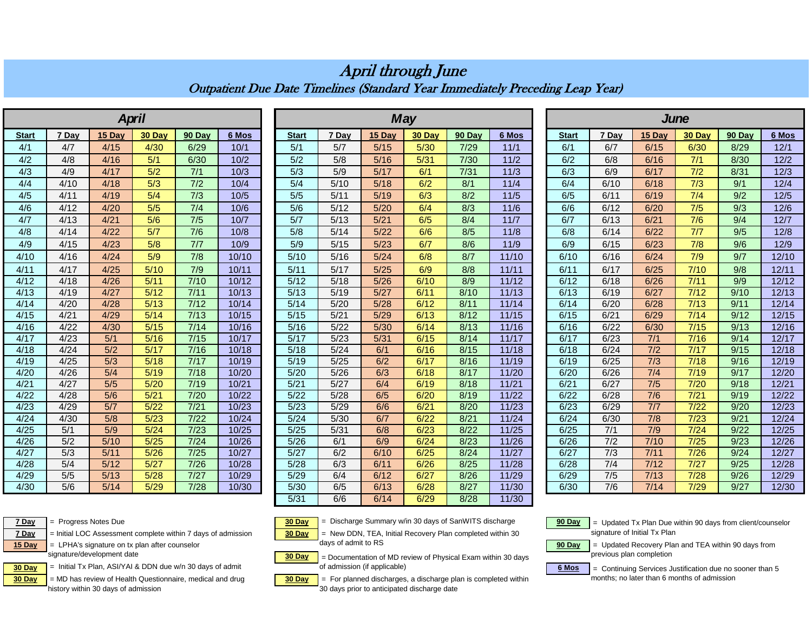|              |       | <b>April</b> |        |                |       |              |       |        | <b>May</b> |        |        | <b><i>June</i></b> |              |                  |               |                |                  |        |  |  |  |
|--------------|-------|--------------|--------|----------------|-------|--------------|-------|--------|------------|--------|--------|--------------------|--------------|------------------|---------------|----------------|------------------|--------|--|--|--|
|              |       |              |        |                |       |              |       |        |            |        |        |                    |              |                  |               |                |                  |        |  |  |  |
| <b>Start</b> | 7 Day | 15 Day       | 30 Day | 90 Day         | 6 Mos | <b>Start</b> | 7 Dav | 15 Dav | 30 Day     | 90 Day | 6 Mos  |                    | <b>Start</b> | 7 Day            | 15 Day        | 30 Day         | 90 Day           | 6 Mos  |  |  |  |
| 4/1          | 4/7   | 4/15         | 4/30   | 6/29           | 10/1  | 5/1          | 5/7   | 5/15   | 5/30       | 7/29   | 11/1   |                    | 6/1          | 6/7              | 6/15          | 6/30           | 8/29             | 12/1   |  |  |  |
| 4/2          | 4/8   | 4/16         | 5/1    | 6/30           | 10/2  | 5/2          | 5/8   | 5/16   | 5/31       | $7/30$ | 11/2   |                    | 6/2          | 6/8              | 6/16          | $7/1$          | 8/30             | 12/2   |  |  |  |
| 4/3          | 4/9   | 4/17         | 5/2    | $7/1$          | 10/3  | 5/3          | 5/9   | 5/17   | 6/1        | 7/31   | 11/3   |                    | 6/3          | 6/9              | 6/17          | 7/2            | 8/31             | 12/3   |  |  |  |
| 4/4          | 4/10  | 4/18         | 5/3    | 7/2            | 10/4  | 5/4          | 5/10  | 5/18   | 6/2        | 8/1    | 11/4   |                    | 6/4          | 6/10             | 6/18          | 7/3            | 9/1              | 12/4   |  |  |  |
| 4/5          | 4/11  | 4/19         | 5/4    | 7/3            | 10/5  | 5/5          | 5/11  | 5/19   | 6/3        | 8/2    | $11/5$ |                    | 6/5          | 6/11             | 6/19          | 7/4            | 9/2              | $12/5$ |  |  |  |
| 4/6          | 4/12  | 4/20         | 5/5    | 7/4            | 10/6  | 5/6          | 5/12  | 5/20   | 6/4        | 8/3    | 11/6   |                    | 6/6          | 6/12             | 6/20          | 7/5            | 9/3              | 12/6   |  |  |  |
| 4/7          | 4/13  | 4/21         | 5/6    | 7/5            | 10/7  | 5/7          | 5/13  | 5/21   | 6/5        | 8/4    | 11/7   |                    | 6/7          | 6/13             | 6/21          | 7/6            | 9/4              | 12/7   |  |  |  |
| 4/8          | 4/14  | 4/22         | 5/7    | 7/6            | 10/8  | 5/8          | 5/14  | 5/22   | 6/6        | 8/5    | 11/8   |                    | 6/8          | 6/14             | 6/22          | 7/7            | 9/5              | 12/8   |  |  |  |
| 4/9          | 4/15  | 4/23         | 5/8    | 7/7            | 10/9  | 5/9          | 5/15  | 5/23   | 6/7        | 8/6    | 11/9   |                    | 6/9          | 6/15             | 6/23          | 7/8            | 9/6              | 12/9   |  |  |  |
| 4/10         | 4/16  | 4/24         | 5/9    | 7/8            | 10/10 | 5/10         | 5/16  | 5/24   | 6/8        | 8/7    | 11/10  |                    | 6/10         | 6/16             | 6/24          | 7/9            | 9/7              | 12/10  |  |  |  |
| 4/11         | 4/17  | 4/25         | 5/10   | 7/9            | 10/11 | 5/11         | 5/17  | 5/25   | 6/9        | 8/8    | 11/11  |                    | 6/11         | 6/17             | 6/25          | 7/10           | 9/8              | 12/11  |  |  |  |
| 4/12         | 4/18  | 4/26         | 5/11   | 7/10           | 10/12 | 5/12         | 5/18  | 5/26   | 6/10       | 8/9    | 11/12  |                    | 6/12         | 6/18             | 6/26          | 7/11           | $\overline{9/9}$ | 12/12  |  |  |  |
| 4/13         | 4/19  | 4/27         | 5/12   | 7/11           | 10/13 | 5/13         | 5/19  | 5/27   | 6/11       | 8/10   | 11/13  |                    | 6/13         | 6/19             | 6/27          | 7/12           | 9/10             | 12/13  |  |  |  |
| 4/14         | 4/20  | 4/28         | 5/13   | 7/12           | 10/14 | 5/14         | 5/20  | 5/28   | 6/12       | 8/11   | 11/14  |                    | 6/14         | 6/20             | 6/28          | 7/13           | 9/11             | 12/14  |  |  |  |
| 4/15         | 4/21  | 4/29         | 5/14   | 7/13           | 10/15 | 5/15         | 5/21  | 5/29   | 6/13       | 8/12   | 11/15  |                    | 6/15         | 6/21             | 6/29          | 7/14           | 9/12             | 12/15  |  |  |  |
| 4/16         | 4/22  | 4/30         | 5/15   | 7/14           | 10/16 | 5/16         | 5/22  | 5/30   | 6/14       | 8/13   | 11/16  |                    | 6/16         | 6/22             | 6/30          | 7/15           | 9/13             | 12/16  |  |  |  |
| 4/17         | 4/23  | 5/1          | 5/16   | 7/15           | 10/17 | 5/17         | 5/23  | 5/31   | 6/15       | 8/14   | 11/17  |                    | 6/17         | 6/23             | $\frac{7}{1}$ | $\frac{7}{16}$ | 9/14             | 12/17  |  |  |  |
| 4/18         | 4/24  | 5/2          | 5/17   | 7/16           | 10/18 | 5/18         | 5/24  | 6/1    | 6/16       | 8/15   | 11/18  |                    | 6/18         | 6/24             | 7/2           | 7/17           | 9/15             | 12/18  |  |  |  |
| 4/19         | 4/25  | 5/3          | 5/18   | 7/17           | 10/19 | 5/19         | 5/25  | 6/2    | 6/17       | 8/16   | 11/19  |                    | 6/19         | 6/25             | 7/3           | 7/18           | 9/16             | 12/19  |  |  |  |
| 4/20         | 4/26  | 5/4          | 5/19   | 7/18           | 10/20 | 5/20         | 5/26  | 6/3    | 6/18       | 8/17   | 11/20  |                    | 6/20         | 6/26             | 7/4           | 7/19           | 9/17             | 12/20  |  |  |  |
| 4/21         | 4/27  | 5/5          | 5/20   | 7/19           | 10/21 | 5/21         | 5/27  | 6/4    | 6/19       | 8/18   | 11/21  |                    | 6/21         | 6/27             | 7/5           | 7/20           | 9/18             | 12/21  |  |  |  |
| 4/22         | 4/28  | 5/6          | 5/21   | 7/20           | 10/22 | 5/22         | 5/28  | 6/5    | 6/20       | 8/19   | 11/22  |                    | 6/22         | 6/28             | 7/6           | 7/21           | 9/19             | 12/22  |  |  |  |
| 4/23         | 4/29  | 5/7          | 5/22   | 7/21           | 10/23 | 5/23         | 5/29  | 6/6    | 6/21       | 8/20   | 11/23  |                    | 6/23         | 6/29             | 7/7           | 7/22           | 9/20             | 12/23  |  |  |  |
| 4/24         | 4/30  | 5/8          | 5/23   | 7/22           | 10/24 | 5/24         | 5/30  | 6/7    | 6/22       | 8/21   | 11/24  |                    | 6/24         | 6/30             | 7/8           | 7/23           | 9/21             | 12/24  |  |  |  |
| 4/25         | 5/1   | 5/9          | 5/24   | 7/23           | 10/25 | 5/25         | 5/31  | 6/8    | 6/23       | 8/22   | 11/25  |                    | 6/25         | 7/1              | 7/9           | 7/24           | 9/22             | 12/25  |  |  |  |
| 4/26         | 5/2   | $5/10$       | 5/25   | 7/24           | 10/26 | 5/26         | 6/1   | 6/9    | 6/24       | 8/23   | 11/26  |                    | 6/26         | 7/2              | 7/10          | 7/25           | 9/23             | 12/26  |  |  |  |
| 4/27         | 5/3   | 5/11         | 5/26   | 7/25           | 10/27 | 5/27         | 6/2   | 6/10   | 6/25       | 8/24   | 11/27  |                    | 6/27         | 7/3              | 7/11          | 7/26           | 9/24             | 12/27  |  |  |  |
| 4/28         | 5/4   | 5/12         | 5/27   | 7/26           | 10/28 | 5/28         | 6/3   | 6/11   | 6/26       | 8/25   | 11/28  |                    | 6/28         | 7/4              | 7/12          | 7/27           | 9/25             | 12/28  |  |  |  |
| 4/29         | 5/5   | 5/13         | 5/28   | $\frac{7}{27}$ | 10/29 | 5/29         | 6/4   | 6/12   | 6/27       | 8/26   | 11/29  |                    | 6/29         | $\overline{7/5}$ | 7/13          | 7/28           | 9/26             | 12/29  |  |  |  |
| 4/30         | 5/6   | 5/14         | 5/29   | 7/28           | 10/30 | 5/30         | 6/5   | 6/13   | 6/28       | 8/27   | 11/30  |                    | 6/30         | 7/6              | 7/14          | 7/29           | 9/27             | 12/30  |  |  |  |

## Outpatient Due Date Timelines (Standard Year Immediately Preceding Leap Year) April through June



**7 Day** = Initial LOC Assessment complete within 7 days of admission **30 Day**

signature/development date

**30 Day**  $=$  MD has review of Health Questionnaire, medical and drug **30 Day** history within 30 days of admission

5/31 | 6/6 | 6/14 <mark>| 6/29 |</mark> 8/28 | 11/30 **7 Day** = Progress Notes Due **6 Case 10 Case 10 Case 10 Case 10 Case 10** Case 10 Case 10 Case 10 Case 10 Case 10 Case 10 Case 10 Case 10 Case 10 Case 10 Case 10 Case 10 Case 10 Case 10 Case 10 Case 10 Case 10 Case 10 Case = New DDN, TEA, Initial Recovery Plan completed within 30

15 Day | = LPHA's signature on tx plan after counselor **but a community of the system of the system of the system of the system of the system of the system of the system of the system of the system of the system of the sys** days of admit to RS

**30 Day Find Astrophenomy of a DDA** due with 30 days of admit **1999 of admission (if applicable) 6 Mos**  = Documentation of MD review of Physical Exam within 30 days of admission (if applicable)

= MD has review of Health Questionnaire, medical and drug **30 Day** = For planned discharges, a discharge plan is completed within mass in later than 6 months of admission 30 days prior to anticipated discharge date

 = Updated Tx Plan Due within 90 days from client/counselor signature of Initial Tx Plan

 = Updated Recovery Plan and TEA within 90 days from previous plan completion

 $=$  Continuing Services Justification due no sooner than 5<br>months: no later than 6 months of admission

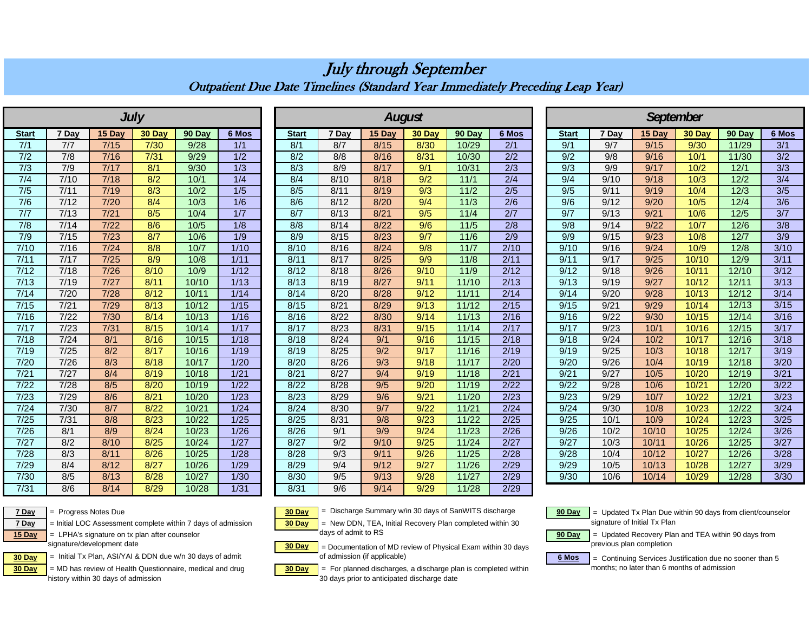|              |       |        | <b>July</b> |        |                  |              |       | <b>August</b> |                  |                |                  |              |       |        | <b>September</b> |        |                  |
|--------------|-------|--------|-------------|--------|------------------|--------------|-------|---------------|------------------|----------------|------------------|--------------|-------|--------|------------------|--------|------------------|
| <b>Start</b> | 7 Dav | 15 Dav | 30 Day      | 90 Day | 6 Mos            | <b>Start</b> | 7 Dav | 15 Dav        | 30 Dav           | 90 Dav         | 6 Mos            | <b>Start</b> | 7 Day | 15 Dav | 30 Day           | 90 Dav | 6 Mos            |
| 7/1          | 7/7   | 7/15   | 7/30        | 9/28   | 1/1              | 8/1          | 8/7   | 8/15          | 8/30             | 10/29          | 2/1              | 9/1          | 9/7   | 9/15   | 9/30             | 11/29  | 3/1              |
| 7/2          | 7/8   | 7/16   | 7/31        | 9/29   | 1/2              | 8/2          | 8/8   | 8/16          | 8/31             | 10/30          | 2/2              | 9/2          | 9/8   | 9/16   | 10/1             | 11/30  | 3/2              |
| 7/3          | 7/9   | 7/17   | 8/1         | 9/30   | 1/3              | 8/3          | 8/9   | 8/17          | 9/1              | 10/31          | 2/3              | 9/3          | 9/9   | 9/17   | 10/2             | 12/1   | 3/3              |
| 7/4          | 7/10  | 7/18   | 8/2         | 10/1   | 1/4              | 8/4          | 8/10  | 8/18          | 9/2              | 11/1           | 2/4              | 9/4          | 9/10  | 9/18   | 10/3             | 12/2   | 3/4              |
| 7/5          | 7/11  | 7/19   | 8/3         | 10/2   | 1/5              | 8/5          | 8/11  | 8/19          | $\overline{9/3}$ | $\frac{11}{2}$ | $\overline{2/5}$ | 9/5          | 9/11  | 9/19   | 10/4             | 12/3   | $\overline{3/5}$ |
| 7/6          | 7/12  | 7/20   | 8/4         | 10/3   | $\overline{1/6}$ | 8/6          | 8/12  | 8/20          | 9/4              | 11/3           | $\overline{2/6}$ | 9/6          | 9/12  | 9/20   | 10/5             | 12/4   | $\overline{3/6}$ |
| 7/7          | 7/13  | 7/21   | 8/5         | 10/4   | $\overline{1/7}$ | 8/7          | 8/13  | 8/21          | 9/5              | 11/4           | $\overline{2/7}$ | 9/7          | 9/13  | 9/21   | 10/6             | 12/5   | 3/7              |
| 7/8          | 7/14  | 7/22   | 8/6         | 10/5   | 1/8              | 8/8          | 8/14  | 8/22          | 9/6              | 11/5           | 2/8              | 9/8          | 9/14  | 9/22   | 10/7             | 12/6   | 3/8              |
| 7/9          | 7/15  | 7/23   | 8/7         | 10/6   | 1/9              | 8/9          | 8/15  | 8/23          | 9/7              | 11/6           | $\overline{2/9}$ | 9/9          | 9/15  | 9/23   | 10/8             | 12/7   | 3/9              |
| 7/10         | 7/16  | 7/24   | 8/8         | 10/7   | 1/10             | 8/10         | 8/16  | 8/24          | 9/8              | 11/7           | 2/10             | 9/10         | 9/16  | 9/24   | 10/9             | 12/8   | 3/10             |
| 7/11         | 7/17  | 7/25   | 8/9         | 10/8   | 1/11             | 8/11         | 8/17  | 8/25          | 9/9              | 11/8           | 2/11             | 9/11         | 9/17  | 9/25   | 10/10            | 12/9   | 3/11             |
| 7/12         | 7/18  | 7/26   | 8/10        | 10/9   | 1/12             | 8/12         | 8/18  | 8/26          | 9/10             | 11/9           | $\frac{2}{12}$   | 9/12         | 9/18  | 9/26   | 10/11            | 12/10  | 3/12             |
| 7/13         | 7/19  | 7/27   | 8/11        | 10/10  | 1/13             | 8/13         | 8/19  | 8/27          | 9/11             | 11/10          | 2/13             | 9/13         | 9/19  | 9/27   | 10/12            | 12/11  | 3/13             |
| 7/14         | 7/20  | 7/28   | 8/12        | 10/11  | 1/14             | 8/14         | 8/20  | 8/28          | 9/12             | 11/11          | 2/14             | 9/14         | 9/20  | 9/28   | 10/13            | 12/12  | 3/14             |
| 7/15         | 7/21  | 7/29   | 8/13        | 10/12  | 1/15             | 8/15         | 8/21  | 8/29          | 9/13             | 11/12          | 2/15             | 9/15         | 9/21  | 9/29   | 10/14            | 12/13  | 3/15             |
| 7/16         | 7/22  | 7/30   | 8/14        | 10/13  | 1/16             | 8/16         | 8/22  | 8/30          | 9/14             | 11/13          | 2/16             | 9/16         | 9/22  | 9/30   | 10/15            | 12/14  | 3/16             |
| 7/17         | 7/23  | 7/31   | 8/15        | 10/14  | 1/17             | 8/17         | 8/23  | 8/31          | 9/15             | 11/14          | 2/17             | 9/17         | 9/23  | 10/1   | 10/16            | 12/15  | 3/17             |
| 7/18         | 7/24  | 8/1    | 8/16        | 10/15  | 1/18             | 8/18         | 8/24  | 9/1           | 9/16             | 11/15          | 2/18             | 9/18         | 9/24  | 10/2   | 10/17            | 12/16  | 3/18             |
| 7/19         | 7/25  | 8/2    | 8/17        | 10/16  | 1/19             | 8/19         | 8/25  | 9/2           | 9/17             | 11/16          | 2/19             | 9/19         | 9/25  | 10/3   | 10/18            | 12/17  | 3/19             |
| 7/20         | 7/26  | 8/3    | 8/18        | 10/17  | 1/20             | 8/20         | 8/26  | 9/3           | 9/18             | 11/17          | 2/20             | 9/20         | 9/26  | 10/4   | 10/19            | 12/18  | 3/20             |
| 7/21         | 7/27  | 8/4    | 8/19        | 10/18  | 1/21             | 8/21         | 8/27  | 9/4           | 9/19             | 11/18          | 2/21             | 9/21         | 9/27  | 10/5   | 10/20            | 12/19  | 3/21             |
| 7/22         | 7/28  | 8/5    | 8/20        | 10/19  | 1/22             | 8/22         | 8/28  | 9/5           | 9/20             | 11/19          | 2/22             | 9/22         | 9/28  | 10/6   | 10/21            | 12/20  | 3/22             |
| 7/23         | 7/29  | 8/6    | 8/21        | 10/20  | 1/23             | 8/23         | 8/29  | 9/6           | 9/21             | 11/20          | 2/23             | 9/23         | 9/29  | 10/7   | 10/22            | 12/21  | 3/23             |
| 7/24         | 7/30  | 8/7    | 8/22        | 10/21  | 1/24             | 8/24         | 8/30  | 9/7           | 9/22             | 11/21          | 2/24             | 9/24         | 9/30  | 10/8   | 10/23            | 12/22  | 3/24             |
| 7/25         | 7/31  | 8/8    | 8/23        | 10/22  | 1/25             | 8/25         | 8/31  | 9/8           | 9/23             | 11/22          | 2/25             | 9/25         | 10/1  | 10/9   | 10/24            | 12/23  | 3/25             |
| 7/26         | 8/1   | 8/9    | 8/24        | 10/23  | 1/26             | 8/26         | 9/1   | 9/9           | 9/24             | 11/23          | 2/26             | 9/26         | 10/2  | 10/10  | 10/25            | 12/24  | 3/26             |
| 7/27         | 8/2   | 8/10   | 8/25        | 10/24  | 1/27             | 8/27         | 9/2   | 9/10          | 9/25             | 11/24          | 2/27             | 9/27         | 10/3  | 10/11  | 10/26            | 12/25  | 3/27             |
| 7/28         | 8/3   | 8/11   | 8/26        | 10/25  | 1/28             | 8/28         | 9/3   | 9/11          | 9/26             | 11/25          | 2/28             | 9/28         | 10/4  | 10/12  | 10/27            | 12/26  | 3/28             |
| 7/29         | 8/4   | 8/12   | 8/27        | 10/26  | 1/29             | 8/29         | 9/4   | 9/12          | 9/27             | 11/26          | 2/29             | 9/29         | 10/5  | 10/13  | 10/28            | 12/27  | 3/29             |
| 7/30         | 8/5   | 8/13   | 8/28        | 10/27  | 1/30             | 8/30         | 9/5   | 9/13          | 9/28             | 11/27          | 2/29             | 9/30         | 10/6  | 10/14  | 10/29            | 12/28  | 3/30             |
| 7/31         | 8/6   | 8/14   | 8/29        | 10/28  | 1/31             | 8/31         | 9/6   | 9/14          | 9/29             | 11/28          | 2/29             |              |       |        |                  |        |                  |

## July through September Outpatient Due Date Timelines (Standard Year Immediately Preceding Leap Year)

**7 Day** = Initial LOC Assessment complete within 7 days of admission **30 Day** 

15 Day | = LPHA's signature on tx plan after counselor **but a community of the system of the system of the system of the system of the system of the system of the system of the system of the system of the system of the sys** signature/development date

**30 Day**  $=$  MD has review of Health Questionnaire, medical and drug **30 Day** history within 30 days of admission

**7 Day** = Progress Notes Due **199 Day** = Discharge Summary w/in 30 days of SanWITS discharge **90 Day** = New DDN, TEA, Initial Recovery Plan completed within 30

days of admit to RS

**30 Day 30 Day Find A** Initial Tx Plan, ASI/YAI & DDN due w/n 30 days of admit **1990 of admission (if applicable)** 6 Mos = Documentation of MD review of Physical Exam within 30 days

> = For planned discharges, a discharge plan is completed within 30 days prior to anticipated discharge date

 = Updated Tx Plan Due within 90 days from client/counselor signature of Initial Tx Plan

 = Updated Recovery Plan and TEA within 90 days from previous plan completion

= Continuing Services Justification due no sooner than 5 months; no later than 6 months of admission